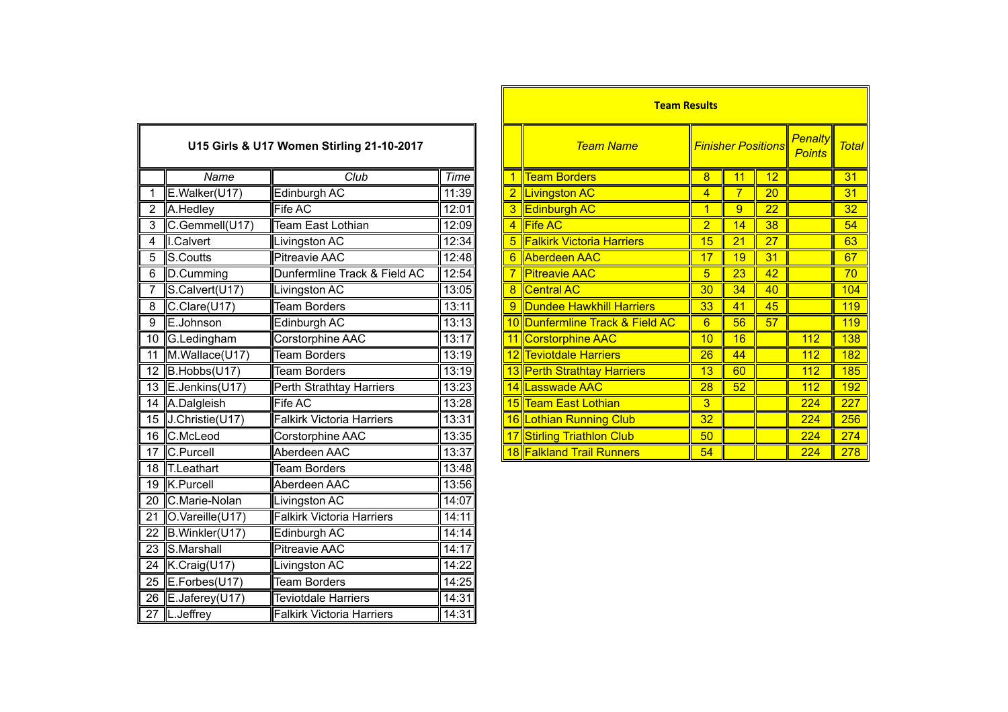|                | U15 Girls & U17 Women Stirling 21-10-2017 |                                  |       |                | <b>Team Name</b>                 | <b>Finisher Positions</b> |                 |                 |
|----------------|-------------------------------------------|----------------------------------|-------|----------------|----------------------------------|---------------------------|-----------------|-----------------|
|                | Name                                      | Club                             | Time  | $\mathbf{1}$   | <b>Team Borders</b>              | $\overline{8}$            | 11              | 12              |
|                | E.Walker(U17)                             | Edinburgh AC                     | 11:39 |                | 2 Livingston AC                  | 4                         | $\overline{7}$  | 20              |
| $\overline{2}$ | A.Hedley                                  | Fife AC                          | 12:01 | 3              | <b>Edinburgh AC</b>              | $\mathbf 1$               | 9               | 22              |
| 3              | C.Gemmell(U17)                            | <b>Team East Lothian</b>         | 12:09 | $\overline{4}$ | <b>Fife AC</b>                   | $\overline{2}$            | 14              | $\overline{38}$ |
| 4              | I.Calvert                                 | Livingston AC                    | 12:34 | 5              | <b>Falkirk Victoria Harriers</b> | 15                        | $\overline{21}$ | 27              |
| 5              | S.Coutts                                  | <b>Pitreavie AAC</b>             | 12:48 | 6              | <b>Aberdeen AAC</b>              | 17                        | 19              | 31              |
| 6              | D.Cumming                                 | Dunfermline Track & Field AC     | 12:54 |                | <b>Pitreavie AAC</b>             | 5                         | $\overline{23}$ | 42              |
|                | S.Calvert(U17)                            | Livingston AC                    | 13:05 | 8              | <b>Central AC</b>                | 30                        | $\overline{34}$ | 40              |
| 8              | C.Clare(U17)                              | <b>Team Borders</b>              | 13:11 | 9              | <b>Dundee Hawkhill Harriers</b>  | 33                        | 41              | 45              |
| 9              | E.Johnson                                 | Edinburgh AC                     | 13:13 |                | 10 Dunfermline Track & Field AC  | $6\overline{6}$           | 56              | 57              |
| 10             | G.Ledingham                               | Corstorphine AAC                 | 13:17 | 11             | Corstorphine AAC                 | 10                        | 16              |                 |
|                | 11 M.Wallace(U17)                         | <b>Team Borders</b>              | 13:19 |                | 12 Teviotdale Harriers           | $\overline{26}$           | 44              |                 |
|                | 12 $B.Hobbs(U17)$                         | <b>Team Borders</b>              | 13:19 |                | 13 Perth Strathtay Harriers      | 13                        | 60              |                 |
|                | 13 E.Jenkins(U17)                         | Perth Strathtay Harriers         | 13:23 |                | 14 Lasswade AAC                  | $\overline{28}$           | 52              |                 |
|                | 14 A.Dalgleish                            | <b>Fife AC</b>                   | 13:28 |                | 15 Team East Lothian             | 3                         |                 |                 |
|                | 15 J.Christie(U17)                        | <b>Falkirk Victoria Harriers</b> | 13:31 |                | 16 Lothian Running Club          | $\overline{32}$           |                 |                 |
|                | 16 C.McLeod                               | Corstorphine AAC                 | 13:35 |                | 17 Stirling Triathlon Club       | 50                        |                 |                 |
|                | 17 C.Purcell                              | Aberdeen AAC                     | 13:37 |                | 18 Falkland Trail Runners        | 54                        |                 |                 |
|                | 18 T.Leathart                             | <b>Team Borders</b>              | 13:48 |                |                                  |                           |                 |                 |
|                | 19 K.Purcell                              | Aberdeen AAC                     | 13:56 |                |                                  |                           |                 |                 |
|                | 20 C.Marie-Nolan                          | Livingston AC                    | 14:07 |                |                                  |                           |                 |                 |
|                | 21 O.Vareille(U17)                        | <b>Falkirk Victoria Harriers</b> | 14:11 |                |                                  |                           |                 |                 |
|                | 22 B. Winkler (U17)                       | Edinburgh AC                     | 14:14 |                |                                  |                           |                 |                 |
|                | 23 S.Marshall                             | <b>Pitreavie AAC</b>             | 14:17 |                |                                  |                           |                 |                 |
|                | 24 K.Craig(U17)                           | Livingston AC                    | 14:22 |                |                                  |                           |                 |                 |
|                | 25 E.Forbes(U17)                          | <b>Team Borders</b>              | 14:25 |                |                                  |                           |                 |                 |
| 26             | E.Jaferey(U17)                            | <b>Teviotdale Harriers</b>       | 14:31 |                |                                  |                           |                 |                 |
|                | 27  L.Jeffrey                             | <b>Falkirk Victoria Harriers</b> | 14:31 |                |                                  |                           |                 |                 |

|                |                         |                                           |       |  | <b>Team Results</b>                |                |                           |    |                                 |              |
|----------------|-------------------------|-------------------------------------------|-------|--|------------------------------------|----------------|---------------------------|----|---------------------------------|--------------|
|                |                         | U15 Girls & U17 Women Stirling 21-10-2017 |       |  | <b>Team Name</b>                   |                | <b>Finisher Positions</b> |    | <b>Penalty</b><br><b>Points</b> | <b>Total</b> |
|                | Name                    | Club                                      | Time  |  | <b>Team Borders</b>                | 8              | 11                        | 12 |                                 | 31           |
|                | E.Walker(U17)           | Edinburgh AC                              | 11:39 |  | 2  Livingston AC                   | 4              |                           | 20 |                                 | 31           |
| $\overline{2}$ | A.Hedley                | Fife AC                                   | 12:01 |  | 3 Edinburgh AC                     | 1              | 9                         | 22 |                                 | 32           |
| 3              | C.Gemmell(U17)          | Team East Lothian                         | 12:09 |  | 4 Fife AC                          | $\overline{2}$ | 14                        | 38 |                                 | 54           |
| 4              | <b>I.</b> Calvert       | ivingston AC                              | 12:34 |  | <b>5 Falkirk Victoria Harriers</b> | 15             | 21                        | 27 |                                 | 63           |
| 5              | S.Coutts                | <b>Pitreavie AAC</b>                      | 12:48 |  | 6 Aberdeen AAC                     | 17             | 19                        | 31 |                                 | 67           |
| 6              | D.Cumming               | Dunfermline Track & Field AC              | 12:54 |  | <b>Pitreavie AAC</b>               | $\overline{5}$ | 23                        | 42 |                                 | 70           |
|                | S.Calvert(U17)          | ivingston AC                              | 13:05 |  | 8 Central AC                       | 30             | 34                        | 40 |                                 | 104          |
| 8              | $C$ .Clare(U17)         | <b>Team Borders</b>                       | 13:11 |  | 9 Dundee Hawkhill Harriers         | 33             | 41                        | 45 |                                 | 119          |
| 9              | E.Johnson               | Edinburgh AC                              | 13:13 |  | 10 Dunfermline Track & Field AC    | $6\phantom{1}$ | 56                        | 57 |                                 | 119          |
|                | 10 G.Ledingham          | Corstorphine AAC                          | 13:17 |  | 11 Corstorphine AAC                | 10             | 16                        |    | 112                             | 138          |
| 11             | M.Wallace(U17)          | <b>Team Borders</b>                       | 13:19 |  | 12 Teviotdale Harriers             | 26             | 44                        |    | <u>112</u>                      | 182          |
|                | 12 $\vert$ B.Hobbs(U17) | <b>Team Borders</b>                       | 13:19 |  | 13 Perth Strathtay Harriers        | 13             | 60                        |    | 112                             | 185          |
|                | 13 E.Jenkins(U17)       | Perth Strathtay Harriers                  | 13:23 |  | 14 Lasswade AAC                    | 28             | 52                        |    | 112                             | 192          |
|                | 14 A.Dalgleish          | Fife AC                                   | 13:28 |  | 15 Team East Lothian               | 3              |                           |    | 224                             | 227          |
|                | 15 J.Christie(U17)      | <b>Falkirk Victoria Harriers</b>          | 13:31 |  | 16 Lothian Running Club            | 32             |                           |    | 224                             | 256          |
|                | 16 C.McLeod             | Corstorphine AAC                          | 13:35 |  | 17 Stirling Triathlon Club         | 50             |                           |    | 224                             | 274          |
|                | 17 C.Purcell            | Aberdeen AAC                              | 13:37 |  | 18 Falkland Trail Runners          | 54             |                           |    | 224                             | 278          |
|                |                         |                                           |       |  |                                    |                |                           |    |                                 |              |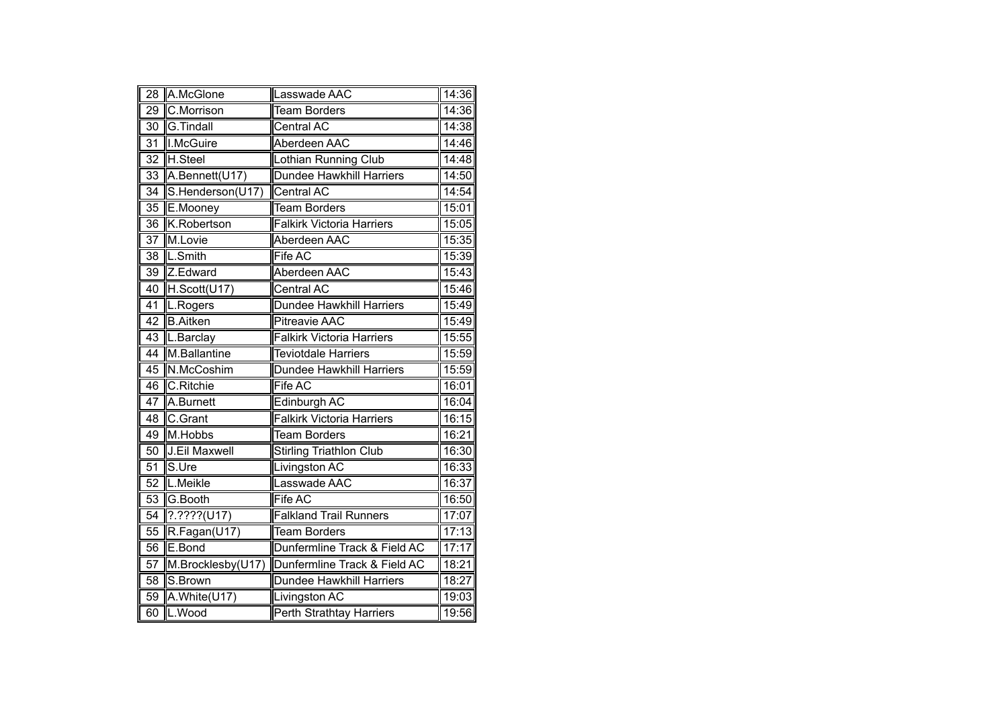| 28              | A.McGlone         | Lasswade AAC                     | 14:36 |
|-----------------|-------------------|----------------------------------|-------|
| $\overline{29}$ | C.Morrison        | <b>Team Borders</b>              | 14:36 |
| $\overline{30}$ | <b>G.Tindall</b>  | <b>Central AC</b>                | 14:38 |
| $\overline{31}$ | <b>I.McGuire</b>  | Aberdeen AAC                     | 14:46 |
| 32              | H.Steel           | Lothian Running Club             | 14:48 |
| 33              | A.Bennett(U17)    | <b>Dundee Hawkhill Harriers</b>  | 14:50 |
| 34              | S.Henderson(U17)  | Central AC                       | 14:54 |
| 35              | E.Mooney          | <b>Team Borders</b>              | 15:01 |
| $\overline{36}$ | K.Robertson       | <b>Falkirk Victoria Harriers</b> | 15:05 |
| $\overline{37}$ | M.Lovie           | Aberdeen AAC                     | 15:35 |
| $\overline{38}$ | L.Smith           | <b>Fife AC</b>                   | 15:39 |
| 39              | Z.Edward          | Aberdeen AAC                     | 15:43 |
| 40              | H.Scott(U17)      | <b>Central AC</b>                | 15:46 |
| 41              | L.Rogers          | Dundee Hawkhill Harriers         | 15:49 |
| $\overline{42}$ | <b>B.Aitken</b>   | <b>Pitreavie AAC</b>             | 15:49 |
| 43              | L.Barclay         | <b>Falkirk Victoria Harriers</b> | 15:55 |
| 44              | M.Ballantine      | <b>Teviotdale Harriers</b>       | 15:59 |
| 45              | N.McCoshim        | <b>Dundee Hawkhill Harriers</b>  | 15:59 |
| 46              | C.Ritchie         | <b>Fife AC</b>                   | 16:01 |
| $\overline{47}$ | A.Burnett         | Edinburgh AC                     | 16:04 |
| $\overline{48}$ | C.Grant           | <b>Falkirk Victoria Harriers</b> | 16:15 |
| 49              | M.Hobbs           | <b>Team Borders</b>              | 16:21 |
| 50              | J.Eil Maxwell     | <b>Stirling Triathlon Club</b>   | 16:30 |
| 51              | S.Ure             | Livingston AC                    | 16:33 |
| $\overline{52}$ | L.Meikle          | Lasswade AAC                     | 16:37 |
| 53              | G.Booth           | <b>Fife AC</b>                   | 16:50 |
| 54              | $?$ .????(U17)    | <b>Falkland Trail Runners</b>    | 17:07 |
| 55              | R.Fagan(U17)      | <b>Team Borders</b>              | 17:13 |
| 56              | E.Bond            | Dunfermline Track & Field AC     | 17:17 |
| 57              | M.Brocklesby(U17) | Dunfermline Track & Field AC     | 18:21 |
| 58              | S.Brown           | Dundee Hawkhill Harriers         | 18:27 |
| 59              | A.White(U17)      | Livingston AC                    | 19:03 |
| 60              | L.Wood            | Perth Strathtay Harriers         | 19:56 |